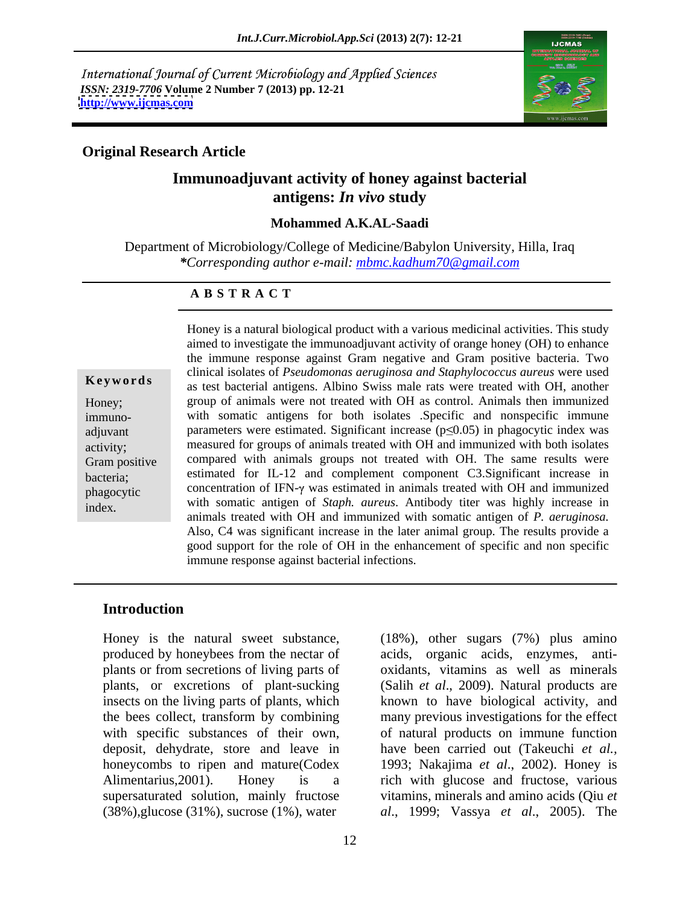International Journal of Current Microbiology and Applied Sciences *ISSN: 2319-7706* **Volume 2 Number 7 (2013) pp. 12-21 <http://www.ijcmas.com>**



### **Original Research Article**

# **Immunoadjuvant activity of honey against bacterial antigens:** *In vivo* **study**

#### **Mohammed A.K.AL-Saadi**

Department of Microbiology/College of Medicine/Babylon University, Hilla, Iraq *\*Corresponding author e-mail: mbmc.kadhum70@gmail.com*

#### **A B S T R A C T**

**Keywords** as test bacterial antigens. Albino Swiss male rats were treated with OH, another Honey; group of animals were not treated with OH as control. Animals then immunized immuno- with somatic antigens for both isolates .Specific and nonspecific immune adjuvant parameters were estimated. Significant increase  $(p \le 0.05)$  in phagocytic index was activity; measured for groups of animals treated with OH and immunized with both isolates<br>Gram positive compared with animals groups not treated with OH. The same results were bacteria; estimated for IL-12 and complement component C3.Significant increase in phagocytic concentration of IFN- $\gamma$  was estimated in animals treated with OH and immunized Honey is a natural biological product with a various medicinal activities. This study<br>
aimed to investigate the immunoadjuvant activity of orange honey (OH) to enhance<br>
the immun response against Gram negative and Gram po aimed to investigate the immunoadjuvant activity of orange honey (OH) to enhance the immune response against Gram negative and Gram positive bacteria. Two clinical isolates of *Pseudomonas aeruginosa and Staphylococcus aureus* were used measured for groups of animals treated with OH and immunized with both isolates with somatic antigen of *Staph. aureus*. Antibody titer was highly increase in animals treated with OH and immunized with somatic antigen of *P. aeruginosa.* Also, C4 was significant increase in the later animal group. The results provide a good support for the role of OH in the enhancement of specific and non specific immune response against bacterial infections.

#### **Introduction**

Honey is the natural sweet substance, (18%), other sugars (7%) plus amino produced by honeybees from the nectar of acids, organic acids, enzymes, anti plants or from secretions of living parts of oxidants, vitamins as well as minerals plants, or excretions of plant-sucking (Salih *et al*., 2009). Natural products are insects on the living parts of plants, which known to have biological activity, and the bees collect, transform by combining many previous investigations for the effect with specific substances of their own, of natural products on immune function deposit, dehydrate, store and leave in have been carried out (Takeuchi *et al.,* honeycombs to ripen and mature(Codex 1993; Nakajima *et al*., 2002). Honey is Alimentarius,2001). Honey is a rich with glucose and fructose, various supersaturated solution, mainly fructose vitamins, minerals and amino acids (Qiu *et* 

(38%),glucose (31%), sucrose (1%), water *al*., 1999; Vassya *et al*., 2005). The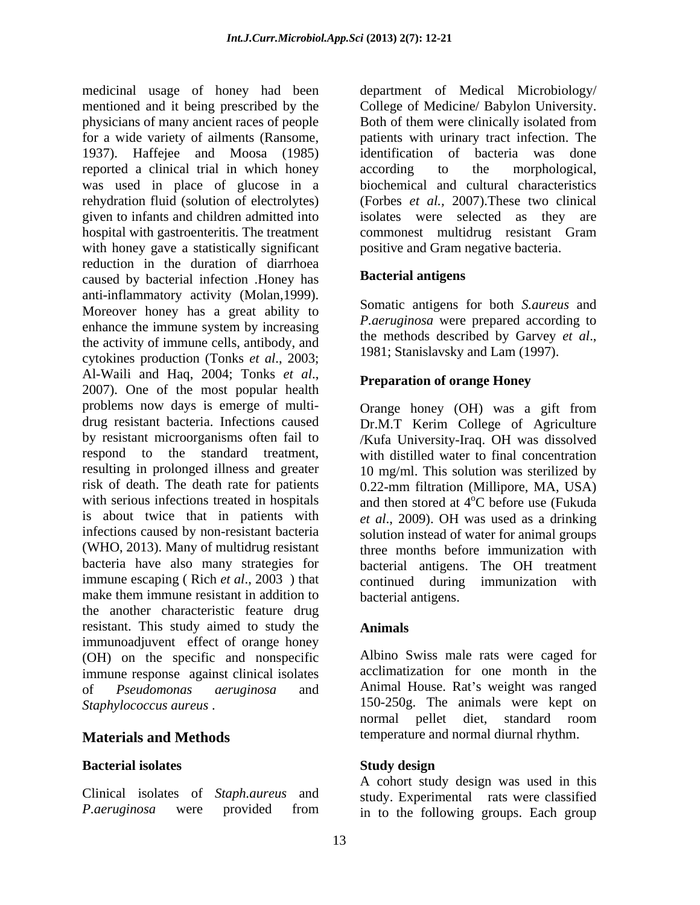medicinal usage of honey had been department of Medical Microbiology/ mentioned and it being prescribed by the physicians of many ancient races of people for a wide variety of ailments (Ransome, patients with urinary tract infection. The 1937). Haffejee and Moosa (1985) reported a clinical trial in which honey according to the morphological, was used in place of glucose in a rehydration fluid (solution of electrolytes) given to infants and children admitted into hospital with gastroenteritis. The treatment commonest multidrug resistant Gram with honey gave a statistically significant reduction in the duration of diarrhoea<br>
caused by bacterial infection Honey has<br> **Bacterial antigens** caused by bacterial infection .Honey has anti-inflammatory activity (Molan,1999). Moreover honey has a great ability to enhance the immune system by increasing the activity of immune cells, antibody, and cytokines production (Tonks *et al*., 2003; Al-Waili and Haq, 2004; Tonks *et al*., 2007). One of the most popular health problems now days is emerge of multi- Orange honey (OH) was a gift from drug resistant bacteria. Infections caused Dr.M.T Kerim College of Agriculture by resistant microorganisms often fail to /Kufa University-Iraq. OH was dissolved respond to the standard treatment, with distilled water to final concentration resulting in prolonged illness and greater 10 mg/ml. This solution was sterilized by risk of death. The death rate for patients 0.22-mm filtration (Millipore, MA, USA) with serious infections treated in hospitals and then stored at  $4^{\circ}$ C before use (Fukuda is about twice that in patients with *et al*., 2009). OH was used as a drinking infections caused by non-resistant bacteria solution instead of water for animal groups (WHO, 2013). Many of multidrug resistant three months before immunization with bacteria have also many strategies for bacterial antigens. The OH treatment immune escaping ( Rich *et al*., 2003 ) that continued during immunization with make them immune resistant in addition to bacterial antigens. the another characteristic feature drug resistant. This study aimed to study the immunoadjuvent effect of orange honey (OH) on the specific and nonspecific immune response against clinical isolates of *Pseudomonas aeruginosa* and Animal House. Rat's weight was ranged

### **Bacterial isolates**

Clinical isolates of *Staph.aureus* and

College of Medicine/ Babylon University. Both of them were clinically isolated from identification of bacteria was done according to the morphological, biochemical and cultural characteristics (Forbes *et al.,* 2007).These two clinical isolates were selected as they are positive and Gram negative bacteria.

### **Bacterial antigens**

Somatic antigens for both *S.aureus* and *P.aeruginosa* were prepared according to the methods described by Garvey *et al*., 1981; Stanislavsky and Lam (1997).

### **Preparation of orange Honey**

oC before use (Fukuda bacterial antigens.

# **Animals**

*Staphylococcus aureus* . 150-250g. The animals were kept on **Materials and Methods** temperature and normal diurnal rhythm. Albino Swiss male rats were caged for acclimatization for one month in the normal pellet diet, standard room

### **Study design**

*P.aeruginosa* were provided from in to the following groups. Each group A cohort study design was used in this study. Experimental rats were classified in to the following groups. Each group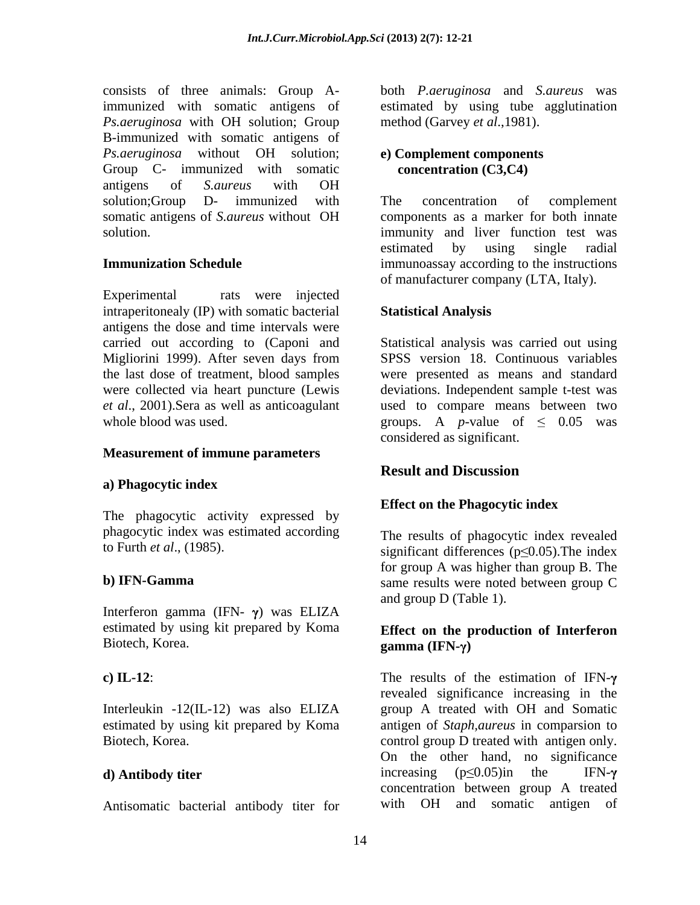consists of three animals: Group A-both *P.aeruginosa* and *S.aureus* was immunized with somatic antigens of estimated by using tube agglutination *Ps.aeruginosa* with OH solution; Group B-immunized with somatic antigens of *Ps.aeruginosa* without OH solution; Group C- immunized with somatic concentration (C3,C4) antigens of *S.aureus* with OH solution;Group D- immunized with The concentration of complement somatic antigens of *S.aureus* without OH

Experimental rats were injected intraperitonealy (IP) with somatic bacterial **Statistical Analysis** antigens the dose and time intervals were Migliorini 1999). After seven days from the last dose of treatment, blood samples

#### **Measurement of immune parameters**

### **a) Phagocytic index**

The phagocytic activity expressed by phagocytic index was estimated according

Interferon gamma (IFN- $\gamma$ ) was ELIZA estimated by using kit prepared by Koma Biotech, Korea. gamma (IFN- $\gamma$ )

Interleukin -12(IL-12) was also ELIZA estimated by using kit prepared by Koma

Antisomatic bacterial antibody titer for

method (Garvey *et al*.,1981).

### **e) Complement components concentration (C3,C4)**

solution. The solution immunity and liver function test was **Immunization Schedule immunoassay according to the instructions** The concentration of complement components as a marker for both innate estimated by using single radial of manufacturer company (LTA, Italy).

### **Statistical Analysis**

carried out according to (Caponi and Statistical analysis was carried out using were collected via heart puncture (Lewis deviations. Independent sample t-test was *et al*., 2001).Sera as well as anticoagulant used to compare means between two whole blood was used.  $\qquad \qquad$  groups. A *p*-value of  $\leq 0.05$  was SPSS version 18. Continuous variables were presented as means and standard considered as significant.

# **Result and Discussion**

#### **Effect on the Phagocytic index**

to Furth *et al.*, (1985). significant differences ( $p \le 0.05$ ). The index **b) IFN-Gamma** same results were noted between group C The results of phagocytic index revealed for group A was higher than group B. The and group D (Table 1).

### **Effect on the production of Interferon gamma** (IFN-γ)

**c)** IL-12: The results of the estimation of IFN- $\gamma$ Biotech, Korea. The control group D treated with antigen only. **d) Antibody titer discription discriming**  $(p \le 0.05)$  in the IFN- $\gamma$ revealed significance increasing in the group A treated with OH and Somatic antigen of *Staph,aureus* in comparsion to On the other hand, no significance increasing ( $p \le 0.05$ )in the IFN- $\gamma$  concentration between group A treated with OH and somatic antigen of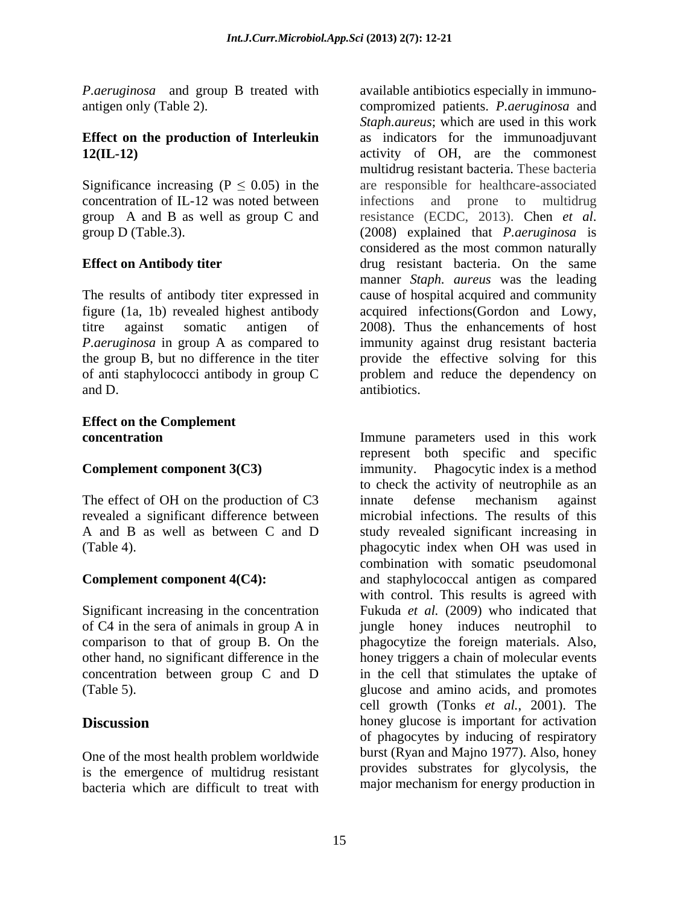*P.aeruginosa* and group B treated with

# **Effect on the production of Interleukin**

The results of antibody titer expressed in figure (1a, 1b) revealed highest antibody and D.  $\qquad$  antibiotics.

# **Effect on the Complement**

The effect of OH on the production of C3 innate defense mechanism against revealed a significant difference between

Significant increasing in the concentration

One of the most health problem worldwide is the emergence of multidrug resistant bacteria which are difficult to treat with

antigen only (Table 2). compromized patients. *P.aeruginosa* and **12(IL-12)** activity of OH, are the commonest Significance increasing ( $P \le 0.05$ ) in the are responsible for healthcare-associated concentration of IL-12 was noted between infections and prone to multidrug group A and B as well as group C and resistance (ECDC, 2013). Chen *et al*. group D (Table.3). (2008) explained that *P.aeruginosa* is **Effect on Antibody titer drug** resistant bacteria. On the same titre against somatic antigen of 2008). Thus the enhancements of host *P.aeruginosa* in group A as compared to immunity against drug resistant bacteria the group B, but no difference in the titer provide the effective solving for this of anti staphylococci antibody in group C problem and reduce the dependency on available antibiotics especially in immuno- *Staph.aureus*; which are used in this work as indicators for the immunoadjuvant multidrug resistant bacteria. These bacteria considered as the most common naturally manner *Staph. aureus* was the leading cause of hospital acquired and community acquired infections(Gordon and Lowy, antibiotics.

**concentration** Immune parameters used in this work **Complement component 3(C3)** immunity. Phagocytic index is a method A and B as well as between C and D study revealed significant increasing in (Table 4). phagocytic index when OH was used in **Complement component 4(C4):** and staphylococcal antigen as compared of C4 in the sera of animals in group A in jungle honey induces neutrophil to comparison to that of group B. On the phagocytize the foreign materials. Also, other hand, no significant difference in the honey triggers a chain of molecular events  $concentration$  between group  $C$  and  $D$  in the cell that stimulates the uptake of (Table 5). glucose and amino acids, and promotes **Discussion honey** glucose is important for activation represent both specific and specific to check the activity of neutrophile as an innate defense mechanism against microbial infections. The results of this combination with somatic pseudomonal with control. This results is agreed with Fukuda *et al.* (2009) who indicated that cell growth (Tonks *et al.*, 2001). The of phagocytes by inducing of respiratory burst (Ryan and Majno 1977). Also, honey provides substrates for glycolysis, the major mechanism for energy production in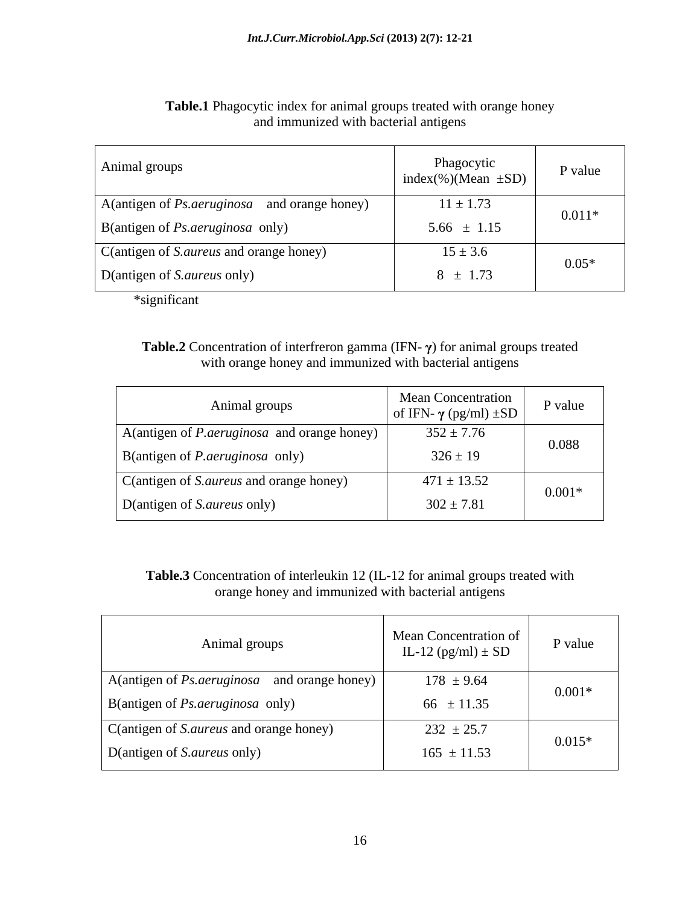| Animal groups                                       | Phagocytic<br>index(%)(Mean $\pm SD$ ) | P value  |
|-----------------------------------------------------|----------------------------------------|----------|
| A(antigen of <i>Ps.aeruginosa</i> and orange honey) | $11 \pm 1.73$                          | $0.011*$ |
| $\vert$ B(antigen of <i>Ps.aeruginosa</i> only)     | $5.66 \pm 1.15$                        |          |
| C(antigen of S. <i>aureus</i> and orange honey)     | $15 \pm 3.6$                           | $0.05*$  |
| D(antigen of S.aureus only)                         | $8 \pm 1.73$                           |          |

### **Table.1** Phagocytic index for animal groups treated with orange honey and immunized with bacterial antigens

\*significant

### **Table.2** Concentration of interfreron gamma (IFN- $\gamma$ ) for animal groups treated with orange honey and immunized with bacterial antigens

| Animal groups                                                       | Mean Concentration<br>of IFN- $\gamma$ (pg/ml) $\pm SD$ | P value  |
|---------------------------------------------------------------------|---------------------------------------------------------|----------|
| $\vert$ A(antigen of <i>P. aeruginosa</i> and orange honey) $\vert$ | $352 \pm 7.76$                                          | 0.088    |
| $\vert$ B(antigen of <i>P. aeruginosa</i> only)                     | $326 \pm 19$                                            |          |
| C(antigen of S. <i>aureus</i> and orange honey)                     | $471 \pm 13.52$                                         | $0.001*$ |
| D(antigen of S.aureus only)                                         | $302 \pm 7.81$                                          |          |

**Table.3** Concentration of interleukin 12 (IL-12 for animal groups treated with orange honey and immunized with bacterial antigens

| Mean Concentration of<br>Animal groups<br>IL-12 $(pg/ml) \pm SD$                      | P value  |
|---------------------------------------------------------------------------------------|----------|
| $178 \pm 9.64$<br>$\vert$ A(antigen of <i>Ps.aeruginosa</i> and orange honey) $\vert$ | $0.001*$ |
| B(antigen of <i>Ps.aeruginosa</i> only)<br>66 $\pm$ 11.35                             |          |
| C(antigen of S.aureus and orange honey)<br>$232 \pm 25.7$                             | $0.015*$ |
| D(antigen of S.aureus only)<br>$165 \pm 11.53$                                        |          |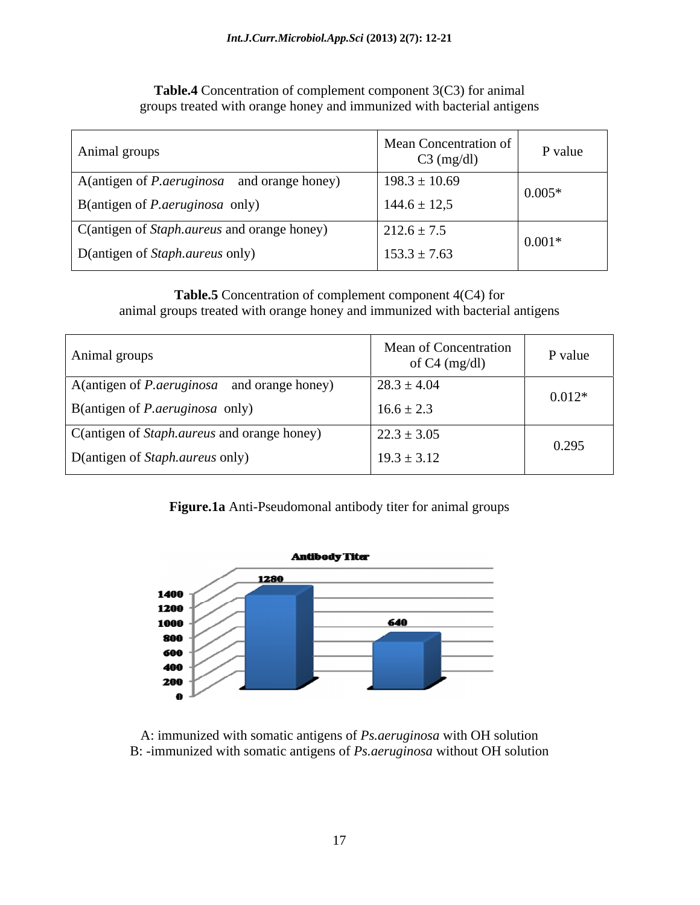| Animal groups                                        | Mean Concentration of<br>$C3$ (mg/dl) | P value  |  |
|------------------------------------------------------|---------------------------------------|----------|--|
| A (antigen of <i>P. aeruginosa</i> and orange honey) | $198.3 \pm 10.69$                     | $0.005*$ |  |
| $\vert$ B(antigen of <i>P. aeruginosa</i> only)      | $144.6 \pm 12.5$                      |          |  |
| C(antigen of <i>Staph.aureus</i> and orange honey)   | $212.6 \pm 7.5$                       |          |  |
| D(antigen of Staph.aureus only)                      | $153.3 \pm 7.63$                      | $0.001*$ |  |

**Table.4** Concentration of complement component 3(C3) for animal groups treated with orange honey and immunized with bacterial antigens

# **Table.5** Concentration of complement component 4(C4) for animal groups treated with orange honey and immunized with bacterial antigens

| Animal groups                                        | <b>Mean of Concentration</b><br>of $C4 \text{ (mg/dl)}$ | P value  |
|------------------------------------------------------|---------------------------------------------------------|----------|
| A (antigen of <i>P. aeruginosa</i> and orange honey) | $28.3 \pm 4.04$                                         | $0.012*$ |
| B(antigen of <i>P.aeruginosa</i> only)               | $16.6 \pm 2.3$                                          |          |
| C(antigen of Staph.aureus and orange honey)          | $22.3 \pm 3.05$                                         | 0.295    |
| D(antigen of Staph.aureus only)                      | $19.3 \pm 3.12$                                         |          |

# **Figure.1a** Anti-Pseudomonal antibody titer for animal groups



A: immunized with somatic antigens of *Ps.aeruginosa* with OH solution B: -immunized with somatic antigens of *Ps.aeruginosa* without OH solution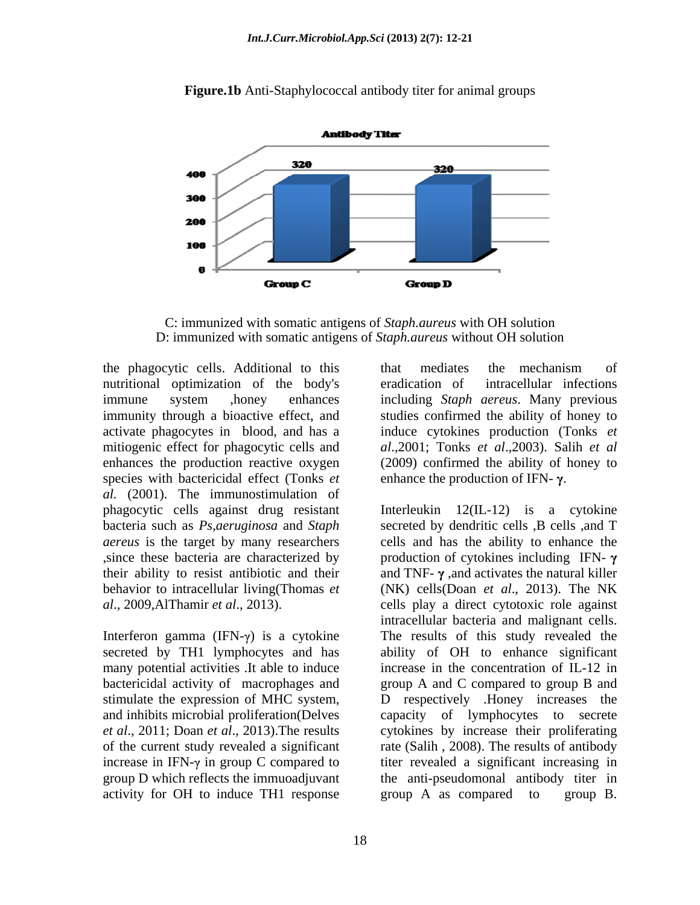

**Figure.1b** Anti-Staphylococcal antibody titer for animal groups

C: immunized with somatic antigens of *Staph.aureus* with OH solution D: immunized with somatic antigens of *Staph.aureus* without OH solution

the phagocytic cells. Additional to this nutritional optimization of the body's species with bactericidal effect (Tonks *et al.* (2001). The immunostimulation of phagocytic cells against drug resistant

Interferon gamma (IFN- $\gamma$ ) is a cytokine increase in IFN- $\gamma$  in group C compared to activity for OH to induce TH1 response group A as compared to group B.

immune system ,honey enhances including *Staph aereus*. Many previous immunity through a bioactive effect, and studies confirmed the ability of honey to activate phagocytes in blood, and has a induce cytokines production (Tonks *et*  mitiogenic effect for phagocytic cells and *al*.,2001; Tonks *et al*.,2003). Salih *et al* enhances the production reactive oxygen (2009) confirmed the ability of honey to that mediates the mechanism of eradication of intracellular infections enhance the production of IFN- $\gamma$ .

bacteria such as *Ps,aeruginosa* and *Staph* secreted by dendritic cells ,B cells ,and T *aereus* is the target by many researchers cells and has the ability to enhance the  $\phi$ , since these bacteria are characterized by production of cytokines including IFN- $\gamma$ their ability to resist antibiotic and their and TNF- $\gamma$ , and activates the natural killer behavior to intracellular living(Thomas *et*  (NK) cells(Doan *et al*., 2013). The NK *al*., 2009,AlThamir *et al*., 2013). cells play a direct cytotoxic role against secreted by TH1 lymphocytes and has ability of OH to enhance significant many potential activities .It able to induce increase in the concentration of IL-12 in bactericidal activity of macrophages and group A and C compared to group B and stimulate the expression of MHC system, D respectively .Honey increases the and inhibits microbial proliferation(Delves capacity of lymphocytes to secrete *et al*., 2011; Doan *et al*., 2013).The results cytokines by increase their proliferating of the current study revealed a significant rate (Salih , 2008). The results of antibody group D which reflects the immuoadjuvant the anti-pseudomonal antibody titer in Interleukin 12(IL-12) is a cytokine intracellular bacteria and malignant cells. The results of this study revealed the titer revealed a significant increasing in group A as compared to group B.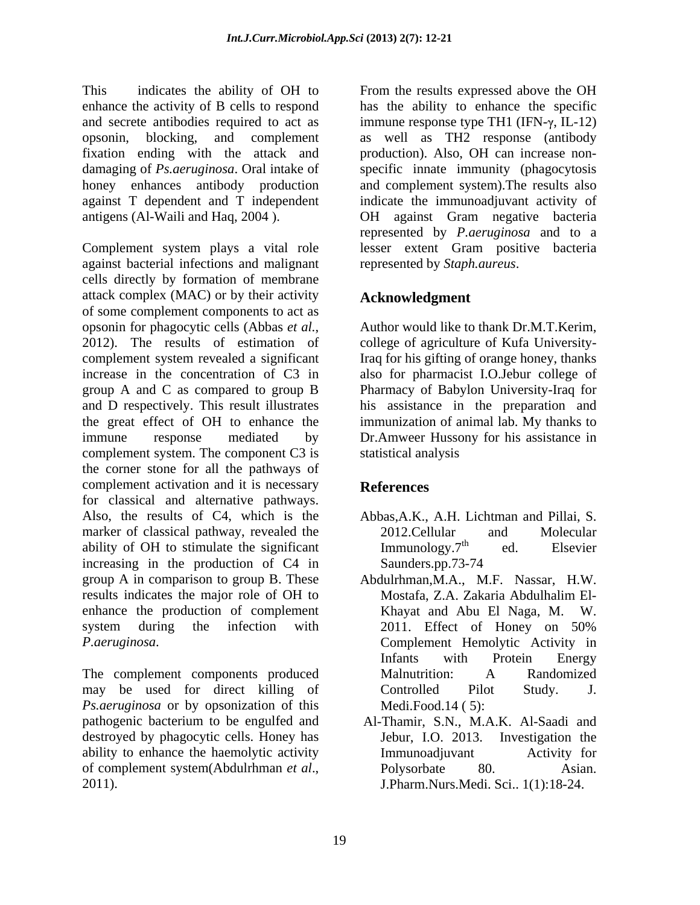This indicates the ability of OH to From the results expressed above the OH enhance the activity of B cells to respond has the ability to enhance the specific and secrete antibodies required to act as  $\qquad \qquad$  immune response type TH1 (IFN- $\gamma$ , IL-12) opsonin, blocking, and complement as well as TH2 response (antibody fixation ending with the attack and production). Also, OH can increase non damaging of *Ps.aeruginosa*. Oral intake of specific innate immunity (phagocytosis honey enhances antibody production against T dependent and T independent indicate the immunoadjuvant activity of antigens (Al-Waili and Haq, 2004 . OH against Gram negative bacteria

Complement system plays a vital role lesser extent Gram positive bacteria against bacterial infections and malignant cells directly by formation of membrane attack complex (MAC) or by their activity of some complement components to act as opsonin for phagocytic cells (Abbas *et al.*, Author would like to thank Dr.M.T.Kerim, 2012). The results of estimation of complement system revealed a significant Iraq for his gifting of orange honey, thanks increase in the concentration of C3 in also for pharmacist I.O.Jebur college of group A and C as compared to group B Pharmacy of Babylon University-Iraq for and D respectively. This result illustrates his assistance in the preparation and the great effect of OH to enhance the immunization of animal lab. My thanks to immune response mediated by Dr.Amweer Hussony for his assistance in complement system. The component C3 is statistical analysis the corner stone for all the pathways of complement activation and it is necessary **References** for classical and alternative pathways. Also, the results of C4, which is the marker of classical pathway, revealed the 2012. Cellular and Molecular ability of OH to stimulate the significant Immunology. 7<sup>th</sup> ed. Elsevier ability of OH to stimulate the significant  $\text{Immunology.}$ <sup>th</sup> ed. Elsevier increasing in the production of C4 in Saunders.pp.73-74 group A in comparison to group B. These Abdulrhman,M.A., M.F. Nassar, H.W. results indicates the major role of OH to enhance the production of complement system during the infection with 2011. Effect of Honey on 50% *P.aeruginosa*. Complement Hemolytic Activity in

The complement components produced may be used for direct killing of Controlled Pilot Study. J. *Ps.aeruginosa* or by opsonization of this pathogenic bacterium to be engulfed and destroyed by phagocytic cells. Honey has ability to enhance the haemolytic activity **activity activity Immunoadjuvant** Activity for of complement system(Abdulrhman *et al*.,

and complement system).The results also represented by *P.aeruginosa* and to a represented by *Staph.aureus*.

# **Acknowledgment**

college of agriculture of Kufa Universitystatistical analysis

# **References**

- Abbas,A.K., A.H. Lichtman and Pillai, S. 2012.Cellular and Molecular Immunology.7<sup>th</sup> ed. Elsevier ed. Elsevier Saunders.pp.73-74
- Mostafa, Z.A. Zakaria Abdulhalim El- Khayat and Abu El Naga, M.W. 2011. Effect of Honey on 50% Infants with Protein Energy Malnutrition: A Randomized Controlled Pilot Study. J. Medi.Food.14 ( 5):
- 2011). J.Pharm.Nurs.Medi. Sci.. 1(1):18-24. Al-Thamir, S.N., M.A.K. Al-Saadi and Jebur, I.O. 2013. Investigation the Immunoadjuvant Activity for Polysorbate 80. Asian.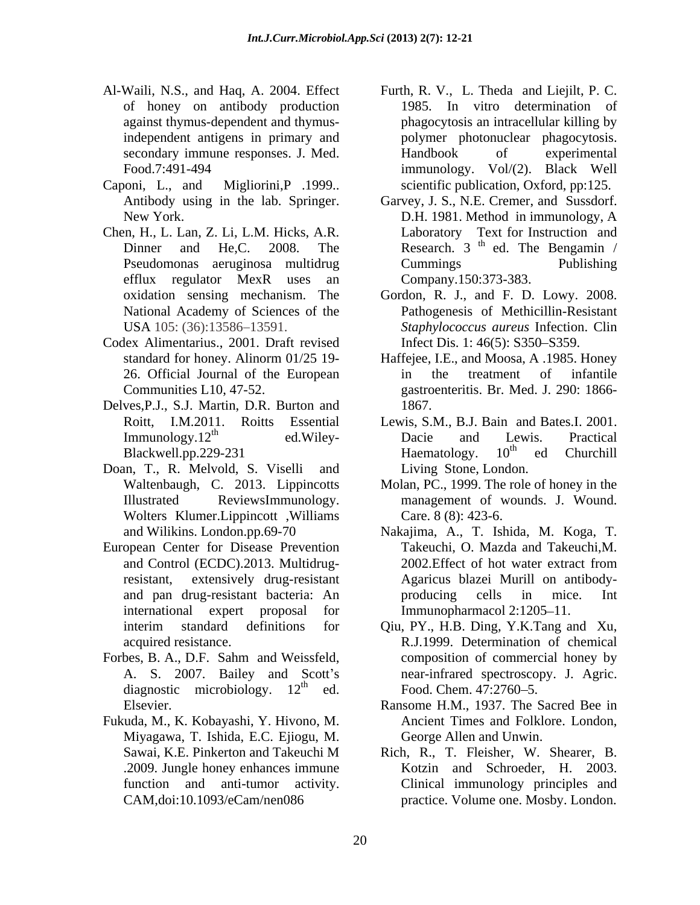- 
- Caponi, L., and Migliorini,P .1999.. scientific publication, Oxford, pp:125.
- Chen, H., L. Lan, Z. Li, L.M. Hicks, A.R. efflux regulator MexR uses an
- Codex Alimentarius., 2001. Draft revised
- Delves,P.J., S.J. Martin, D.R. Burton and
- Doan, T., R. Melvold, S. Viselli and Wolters Klumer.Lippincott ,Williams
- European Center for Disease Prevention
- Forbes, B. A., D.F. Sahm and Weissfeld, diagnostic microbiology.  $12<sup>th</sup>$  ed.
- Fukuda, M., K. Kobayashi, Y. Hivono, M. Miyagawa, T. Ishida, E.C. Ejiogu, M.
- Al-Waili, N.S., and Haq, A. 2004. Effect Furth, R. V., L. Theda and Liejilt, P. C. of honey on antibody production 1985. In vitro determination of against thymus-dependent and thymus-phagocytosis an intracellular killing by independent antigens in primary and polymer photonuclear phagocytosis. secondary immune responses. J. Med. Handbook of experimental Food.7:491-494 immunology. Vol/(2). Black Well Handbook of experimental
	- Antibody using in the lab. Springer. Garvey, J. S., N.E. Cremer, and Sussdorf. New York. D.H. 1981. Method in immunology, A Dinner and He,C. 2008. The Research.  $3<sup>th</sup>$  ed. The Bengamin / Pseudomonas aeruginosa multidrug Cummings Publishing Laboratory Text for Instruction and ed. The Bengamin / Cummings Publishing Company.150:373-383.
	- oxidation sensing mechanism. The Gordon, R. J., and F. D. Lowy. 2008. National Academy of Sciences of the Pathogenesis of Methicillin-Resistant USA 105: (36):13586–13591. *Staphylococcus aureus* Infection. Clin Infect Dis. 1: 46(5): S350–S359.
	- standard for honey. Alinorm 01/25 19- Haffejee, I.E., and Moosa, A .1985. Honey 26. Official Journal of the European Communities L10, 47-52. gastroenteritis. Br. Med. J. 290: 1866 in the treatment of infantile 1867.
	- Roitt, I.M.2011. Roitts Essential Lewis, S.M., B.J. Bain and Bates.I. 2001. Immunology.12<sup>th</sup> ed.Wiley- Dacie and Lewis. Practical Blackwell.pp.229-231 Dacie and Lewis. Practical Haematology. 10<sup>th</sup> ed Churchill  $th$  od Churchill ed Churchill Living Stone, London.
	- Waltenbaugh, C. 2013. Lippincotts Molan, PC., 1999. The role of honey in the Illustrated ReviewsImmunology. management of wounds. J. Wound. Care. 8 (8): 423-6.
	- and Wilikins. London.pp.69-70 Nakajima, A., T. Ishida, M. Koga, T. and Control (ECDC).2013. Multidrug-<br>2002. Effect of hot water extract from resistant, extensively drug-resistant Agaricus blazei Murill on antibody and pan drug-resistant bacteria: An international expert proposal for Immunopharmacol 2:1205–11. Takeuchi, O. Mazda and Takeuchi,M. 2002.Effect of hot water extract from producing cells in mice. Int
	- interim standard definitions for Qiu, PY., H.B. Ding, Y.K.Tang and Xu, acquired resistance. R.J.1999. Determination of chemical A. S. 2007. Bailey and Scott's near-infrared spectroscopy. J. Agric.  $\frac{\text{th}}{\text{d}t}$  and  $\frac{\text{Food}}{\text{Chom}}$   $\frac{17.2760 \text{ s}}{17.2760 \text{ s}}$ Food. Chem. 47:2760-5. composition of commercial honey by Food. Chem. 47:2760–5.
	- Elsevier. Ransome H.M., 1937. The Sacred Bee in Ancient Times and Folklore. London, George Allen and Unwin.
	- Sawai, K.E. Pinkerton and Takeuchi M Rich, R., T. Fleisher, W. Shearer, B. .2009. Jungle honey enhances immune Kotzin and Schroeder, H. 2003. function and anti-tumor activity. Clinical immunology principles and CAM,doi:10.1093/eCam/nen086 practice. Volume one. Mosby. London.